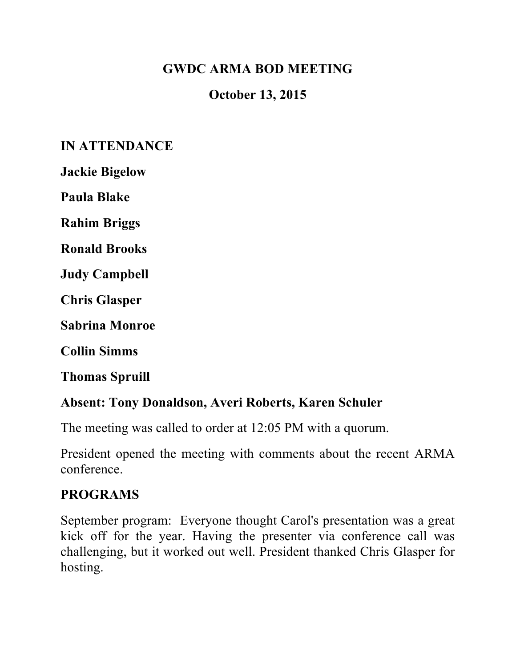# **GWDC ARMA BOD MEETING**

# **October 13, 2015**

## **IN ATTENDANCE**

**Jackie Bigelow**

**Paula Blake**

**Rahim Briggs**

**Ronald Brooks**

**Judy Campbell**

**Chris Glasper**

**Sabrina Monroe**

**Collin Simms**

**Thomas Spruill**

### **Absent: Tony Donaldson, Averi Roberts, Karen Schuler**

The meeting was called to order at 12:05 PM with a quorum.

President opened the meeting with comments about the recent ARMA conference.

#### **PROGRAMS**

September program: Everyone thought Carol's presentation was a great kick off for the year. Having the presenter via conference call was challenging, but it worked out well. President thanked Chris Glasper for hosting.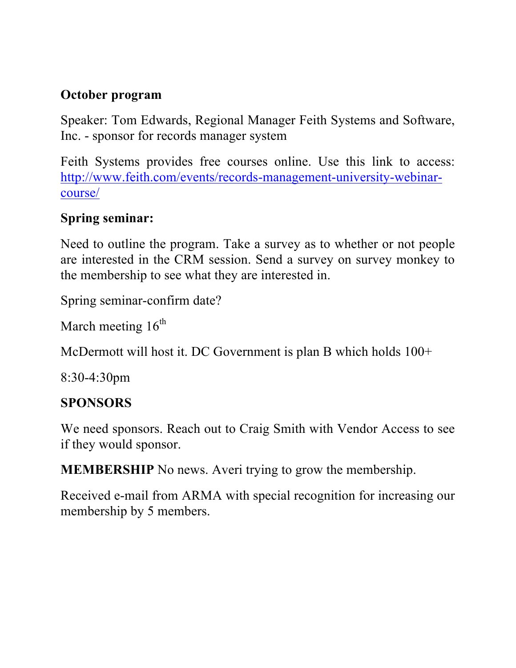# **October program**

Speaker: Tom Edwards, Regional Manager Feith Systems and Software, Inc. - sponsor for records manager system

Feith Systems provides free courses online. Use this link to access: http://www.feith.com/events/records-management-university-webinarcourse/

# **Spring seminar:**

Need to outline the program. Take a survey as to whether or not people are interested in the CRM session. Send a survey on survey monkey to the membership to see what they are interested in.

Spring seminar-confirm date?

March meeting  $16<sup>th</sup>$ 

McDermott will host it. DC Government is plan B which holds  $100+$ 

8:30-4:30pm

## **SPONSORS**

We need sponsors. Reach out to Craig Smith with Vendor Access to see if they would sponsor.

**MEMBERSHIP** No news. Averi trying to grow the membership.

Received e-mail from ARMA with special recognition for increasing our membership by 5 members.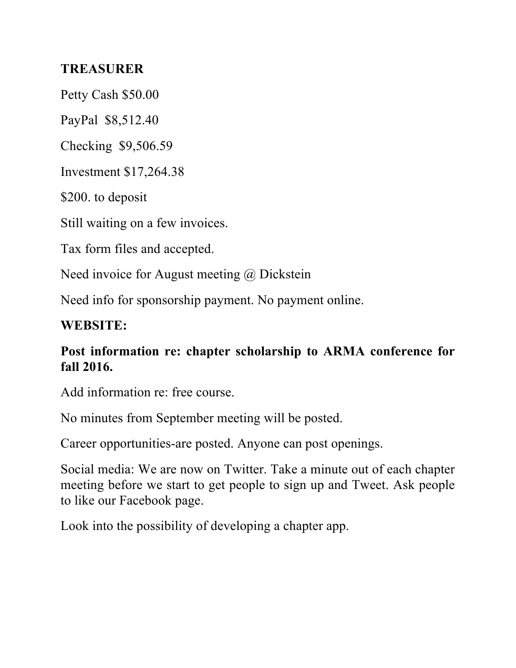## **TREASURER**

Petty Cash \$50.00

PayPal \$8,512.40

Checking \$9,506.59

Investment \$17,264.38

\$200. to deposit

Still waiting on a few invoices.

Tax form files and accepted.

Need invoice for August meeting @ Dickstein

Need info for sponsorship payment. No payment online.

#### **WEBSITE:**

## **Post information re: chapter scholarship to ARMA conference for fall 2016.**

Add information re: free course.

No minutes from September meeting will be posted.

Career opportunities-are posted. Anyone can post openings.

Social media: We are now on Twitter. Take a minute out of each chapter meeting before we start to get people to sign up and Tweet. Ask people to like our Facebook page.

Look into the possibility of developing a chapter app.